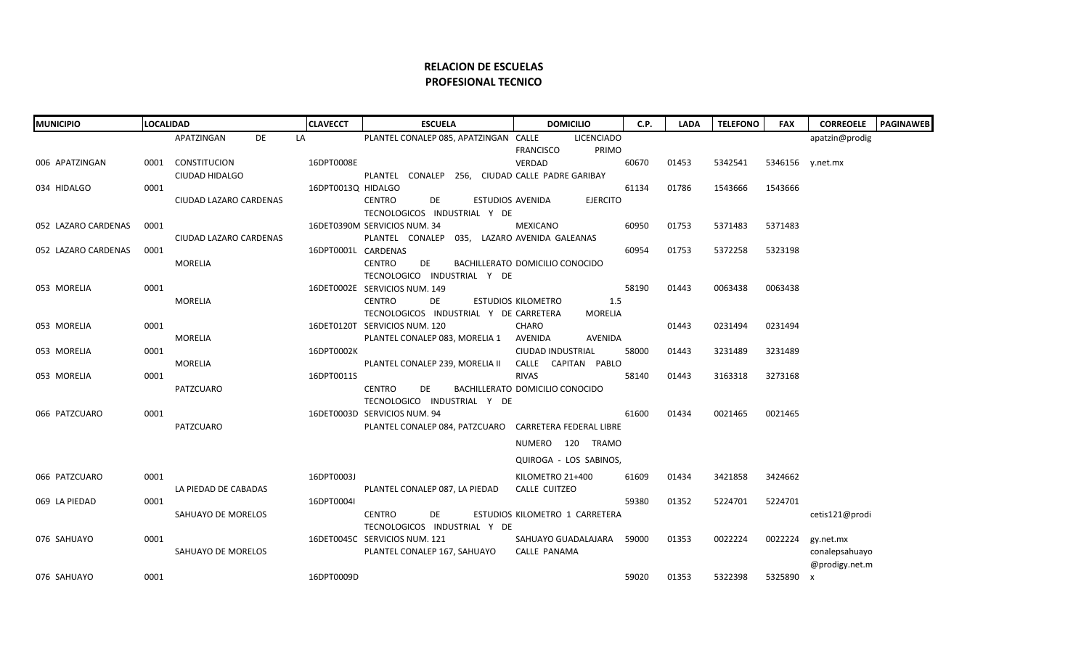## **RELACION DE ESCUELAS PROFESIONAL TECNICO**

| <b>MUNICIPIO</b>    |      | <b>LOCALIDAD</b>       | <b>CLAVECCT</b>     | <b>ESCUELA</b>                                         | <b>DOMICILIO</b>                    | C.P.  | <b>LADA</b> | <b>TELEFONO</b> | <b>FAX</b>       | <b>CORREOELE</b> | <b>PAGINAWEB</b> |
|---------------------|------|------------------------|---------------------|--------------------------------------------------------|-------------------------------------|-------|-------------|-----------------|------------------|------------------|------------------|
|                     |      | APATZINGAN<br>DE       | LA                  | PLANTEL CONALEP 085, APATZINGAN CALLE                  | <b>LICENCIADO</b>                   |       |             |                 |                  | apatzin@prodig   |                  |
|                     |      |                        |                     |                                                        | PRIMO<br><b>FRANCISCO</b>           |       |             |                 |                  |                  |                  |
| 006 APATZINGAN      |      | 0001 CONSTITUCION      | 16DPT0008E          |                                                        | VERDAD                              | 60670 | 01453       | 5342541         | 5346156 v.net.mx |                  |                  |
|                     |      | CIUDAD HIDALGO         |                     | PLANTEL CONALEP 256, CIUDAD CALLE PADRE GARIBAY        |                                     |       |             |                 |                  |                  |                  |
| 034 HIDALGO         | 0001 |                        | 16DPT0013Q HIDALGO  |                                                        |                                     | 61134 | 01786       | 1543666         | 1543666          |                  |                  |
|                     |      | CIUDAD LAZARO CARDENAS |                     | <b>CENTRO</b><br>DE                                    | <b>EJERCITO</b><br>ESTUDIOS AVENIDA |       |             |                 |                  |                  |                  |
|                     |      |                        |                     | TECNOLOGICOS INDUSTRIAL Y DE                           |                                     |       |             |                 |                  |                  |                  |
| 052 LAZARO CARDENAS | 0001 |                        |                     | 16DET0390M SERVICIOS NUM. 34                           | <b>MEXICANO</b>                     | 60950 | 01753       | 5371483         | 5371483          |                  |                  |
|                     |      | CIUDAD LAZARO CARDENAS |                     | PLANTEL CONALEP 035, LAZARO AVENIDA GALEANAS           |                                     |       | 01753       |                 |                  |                  |                  |
| 052 LAZARO CARDENAS | 0001 | <b>MORELIA</b>         | 16DPT0001L CARDENAS | <b>CENTRO</b><br>DE                                    | BACHILLERATO DOMICILIO CONOCIDO     | 60954 |             | 5372258         | 5323198          |                  |                  |
|                     |      |                        |                     | TECNOLOGICO INDUSTRIAL Y DE                            |                                     |       |             |                 |                  |                  |                  |
| 053 MORELIA         | 0001 |                        |                     | 16DET0002E SERVICIOS NUM. 149                          |                                     | 58190 | 01443       | 0063438         | 0063438          |                  |                  |
|                     |      | <b>MORELIA</b>         |                     | <b>CENTRO</b><br>DE                                    | 1.5<br>ESTUDIOS KILOMETRO           |       |             |                 |                  |                  |                  |
|                     |      |                        |                     | TECNOLOGICOS INDUSTRIAL Y DE CARRETERA                 | MORELIA                             |       |             |                 |                  |                  |                  |
| 053 MORELIA         | 0001 |                        |                     | 16DET0120T SERVICIOS NUM. 120                          | <b>CHARO</b>                        |       | 01443       | 0231494         | 0231494          |                  |                  |
|                     |      | <b>MORELIA</b>         |                     | PLANTEL CONALEP 083, MORELIA 1                         | AVENIDA<br>AVENIDA                  |       |             |                 |                  |                  |                  |
| 053 MORELIA         | 0001 |                        | 16DPT0002K          |                                                        | CIUDAD INDUSTRIAL                   | 58000 | 01443       | 3231489         | 3231489          |                  |                  |
|                     |      | <b>MORELIA</b>         |                     | PLANTEL CONALEP 239, MORELIA II                        | CALLE CAPITAN PABLO                 |       |             |                 |                  |                  |                  |
| 053 MORELIA         | 0001 |                        | 16DPT0011S          |                                                        | <b>RIVAS</b>                        | 58140 | 01443       | 3163318         | 3273168          |                  |                  |
|                     |      | PATZCUARO              |                     | <b>CENTRO</b><br>DE                                    | BACHILLERATO DOMICILIO CONOCIDO     |       |             |                 |                  |                  |                  |
|                     |      |                        |                     | TECNOLOGICO INDUSTRIAL Y DE                            |                                     |       |             |                 |                  |                  |                  |
| 066 PATZCUARO       | 0001 |                        |                     | 16DET0003D SERVICIOS NUM. 94                           |                                     | 61600 | 01434       | 0021465         | 0021465          |                  |                  |
|                     |      | PATZCUARO              |                     | PLANTEL CONALEP 084, PATZCUARO CARRETERA FEDERAL LIBRE |                                     |       |             |                 |                  |                  |                  |
|                     |      |                        |                     |                                                        | NUMERO 120 TRAMO                    |       |             |                 |                  |                  |                  |
|                     |      |                        |                     |                                                        | QUIROGA - LOS SABINOS,              |       |             |                 |                  |                  |                  |
| 066 PATZCUARO       | 0001 |                        | 16DPT0003J          |                                                        | KILOMETRO 21+400                    | 61609 | 01434       | 3421858         | 3424662          |                  |                  |
|                     |      | LA PIEDAD DE CABADAS   |                     | PLANTEL CONALEP 087, LA PIEDAD                         | CALLE CUITZEO                       |       |             |                 |                  |                  |                  |
| 069 LA PIEDAD       | 0001 |                        | 16DPT0004I          |                                                        |                                     | 59380 | 01352       | 5224701         | 5224701          |                  |                  |
|                     |      | SAHUAYO DE MORELOS     |                     | CENTRO<br>DE                                           | ESTUDIOS KILOMETRO 1 CARRETERA      |       |             |                 |                  | cetis121@prodi   |                  |
|                     |      |                        |                     | TECNOLOGICOS INDUSTRIAL Y DE                           |                                     |       |             |                 |                  |                  |                  |
| 076 SAHUAYO         | 0001 |                        |                     | 16DET0045C SERVICIOS NUM. 121                          | SAHUAYO GUADALAJARA                 | 59000 | 01353       | 0022224         | 0022224          | gy.net.mx        |                  |
|                     |      | SAHUAYO DE MORELOS     |                     | PLANTEL CONALEP 167, SAHUAYO                           | <b>CALLE PANAMA</b>                 |       |             |                 |                  | conalepsahuayo   |                  |
|                     |      |                        |                     |                                                        |                                     |       |             |                 |                  | @prodigy.net.m   |                  |
| 076 SAHUAYO         | 0001 |                        | 16DPT0009D          |                                                        |                                     | 59020 | 01353       | 5322398         | 5325890 x        |                  |                  |